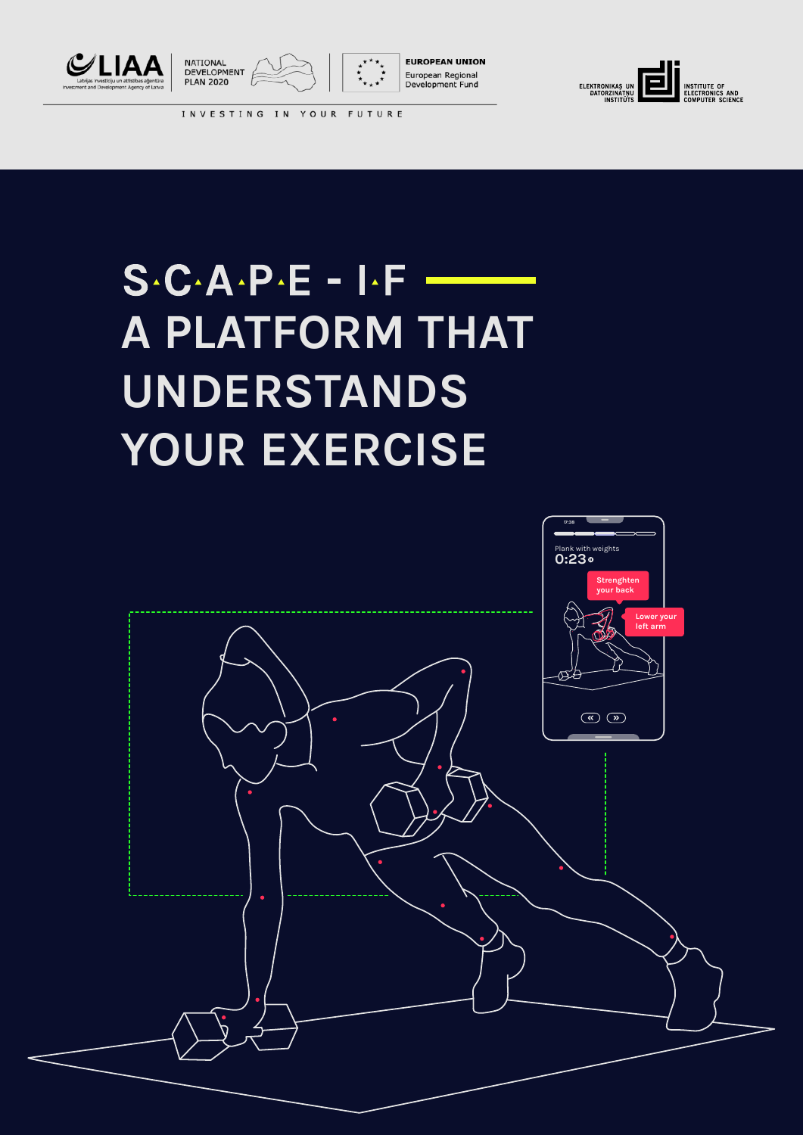





**EUROPEAN UNION** European Regional<br>Development Fund



INVESTING IN YOUR FUTURE

# $S \cdot C \cdot A \cdot P \cdot E - I \cdot F$ **A PLATFORM THAT UNDERSTANDS YOUR EXERCISE**

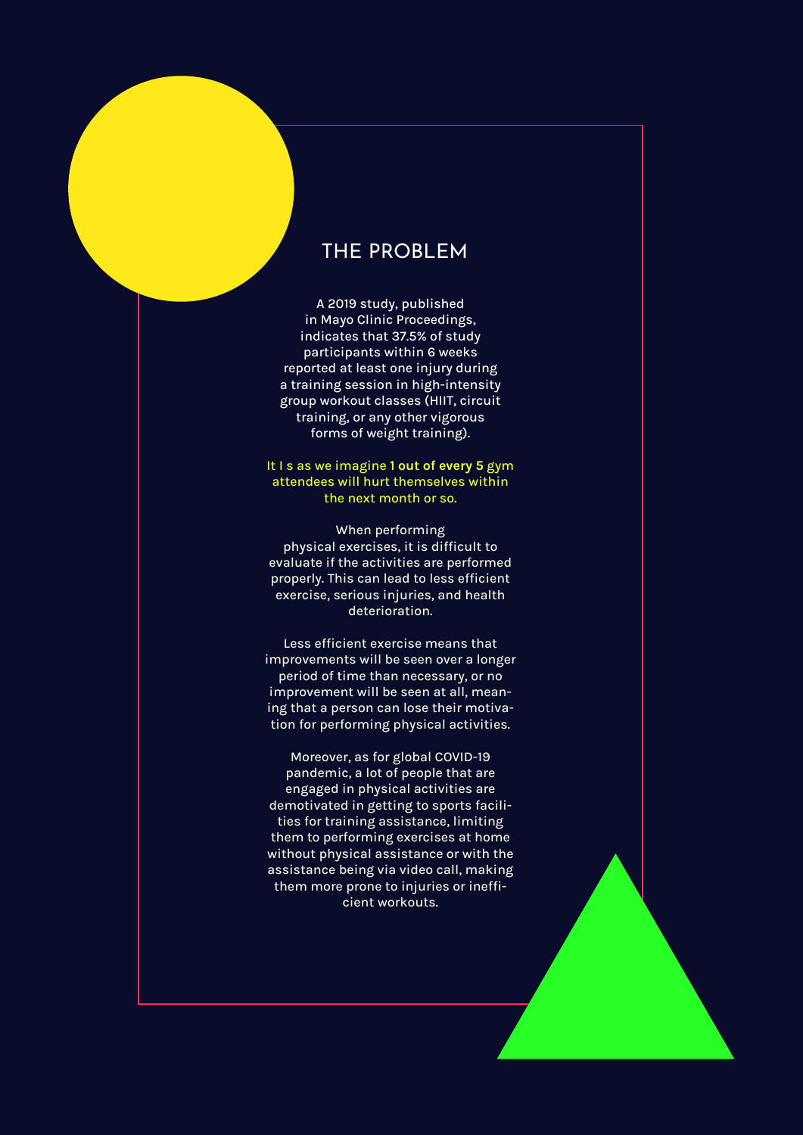# THE PROBLEM

A 2019 study, published in Mayo Clinic Proceedings, indicates that 37.5% of study participants within 6 weeks reported at least one injury during a training session in high-intensity group workout classes (HIIT, circuit training, or any other vigorous forms of weight training).

#### It I s as we imagine **1 out of every 5** gym attendees will hurt themselves within the next month or so.

When performing physical exercises, it is difficult to evaluate if the activities are performed properly. This can lead to less efficient exercise, serious injuries, and health deterioration.

Less efficient exercise means that improvements will be seen over a longer period of time than necessary, or no improvement will be seen at all, meaning that a person can lose their motivation for performing physical activities.

Moreover, as for global COVID-19 pandemic, a lot of people that are engaged in physical activities are demotivated in getting to sports facilities for training assistance, limiting them to performing exercises at home without physical assistance or with the assistance being via video call, making them more prone to injuries or inefficient workouts.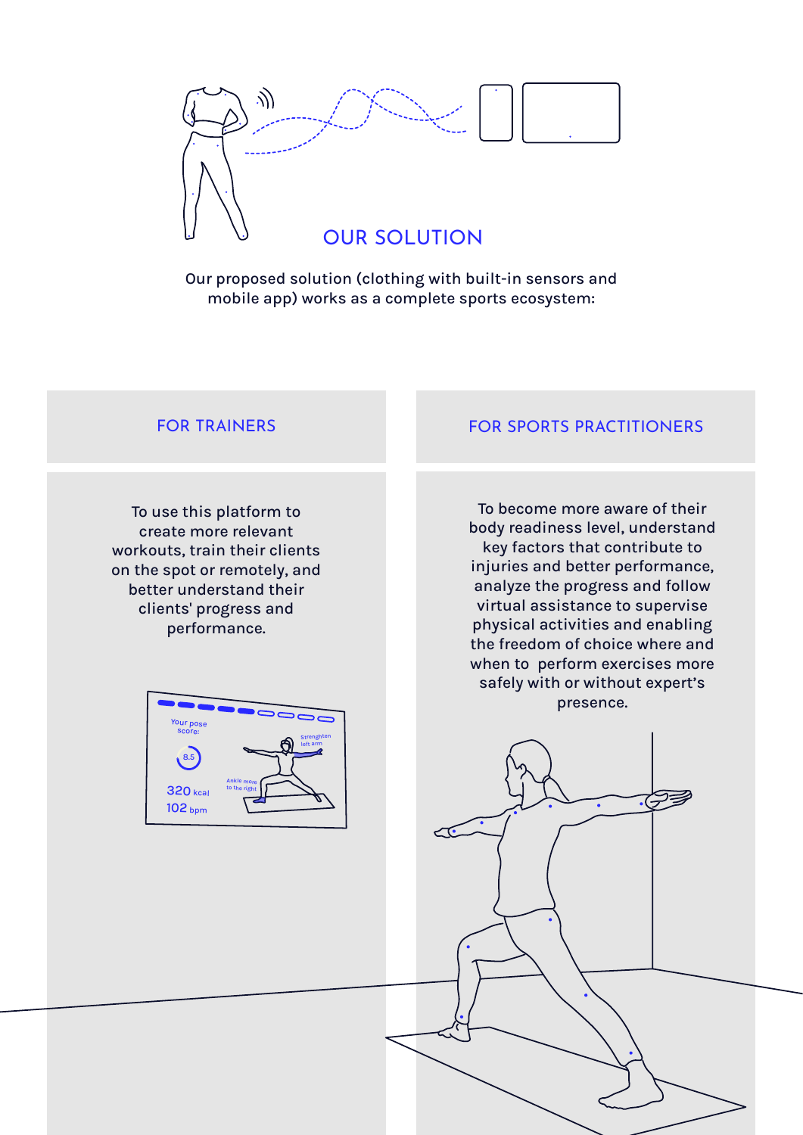

Our proposed solution (clothing with built-in sensors and mobile app) works as a complete sports ecosystem:

To use this platform to create more relevant workouts, train their clients on the spot or remotely, and better understand their clients' progress and performance.

# FOR TRAINERS FOR SPORTS PRACTITIONERS

To become more aware of their body readiness level, understand key factors that contribute to injuries and better performance, analyze the progress and follow virtual assistance to supervise physical activities and enabling the freedom of choice where and when to perform exercises more safely with or without expert's presence.

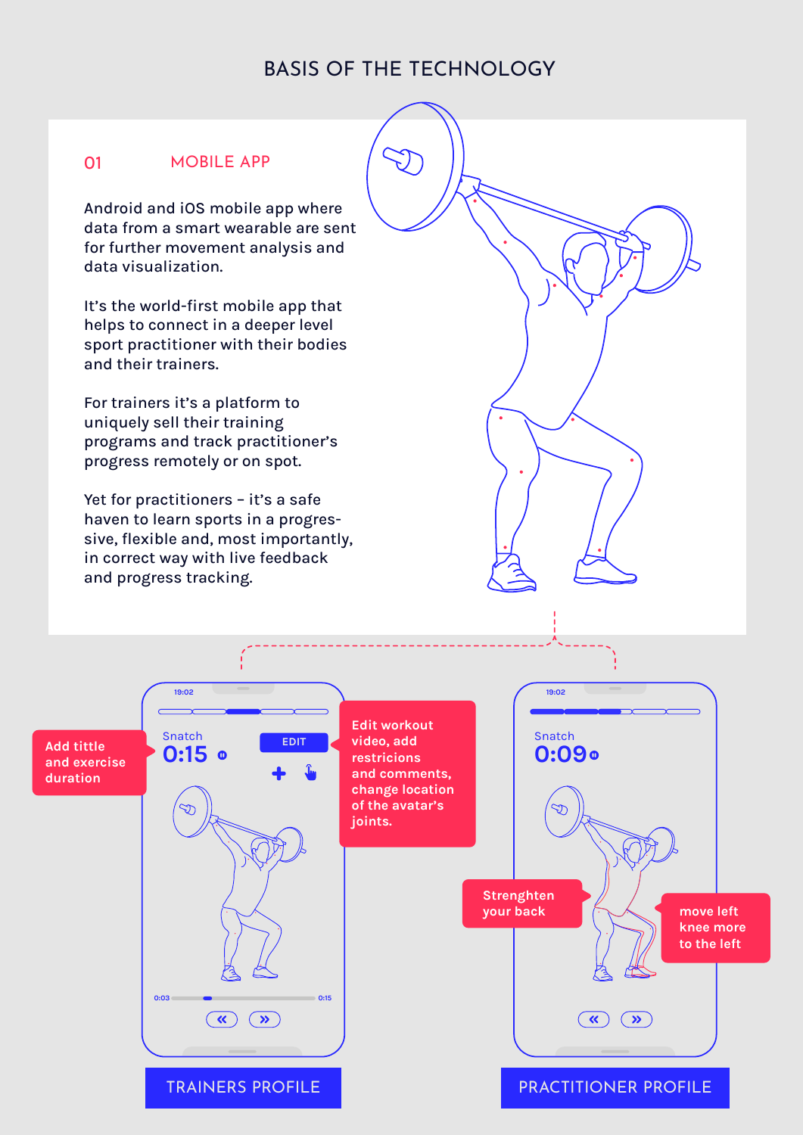# BASIS OF THE TECHNOLOGY

### 01 MOBILE APP

Android and iOS mobile app where data from a smart wearable are sent for further movement analysis and data visualization.

It's the world-first mobile app that helps to connect in a deeper level sport practitioner with their bodies and their trainers.

For trainers it's a platform to uniquely sell their training programs and track practitioner's progress remotely or on spot.

Yet for practitioners - it's a safe haven to learn sports in a progressive, flexible and, most importantly, in correct way with live feedback and progress tracking.

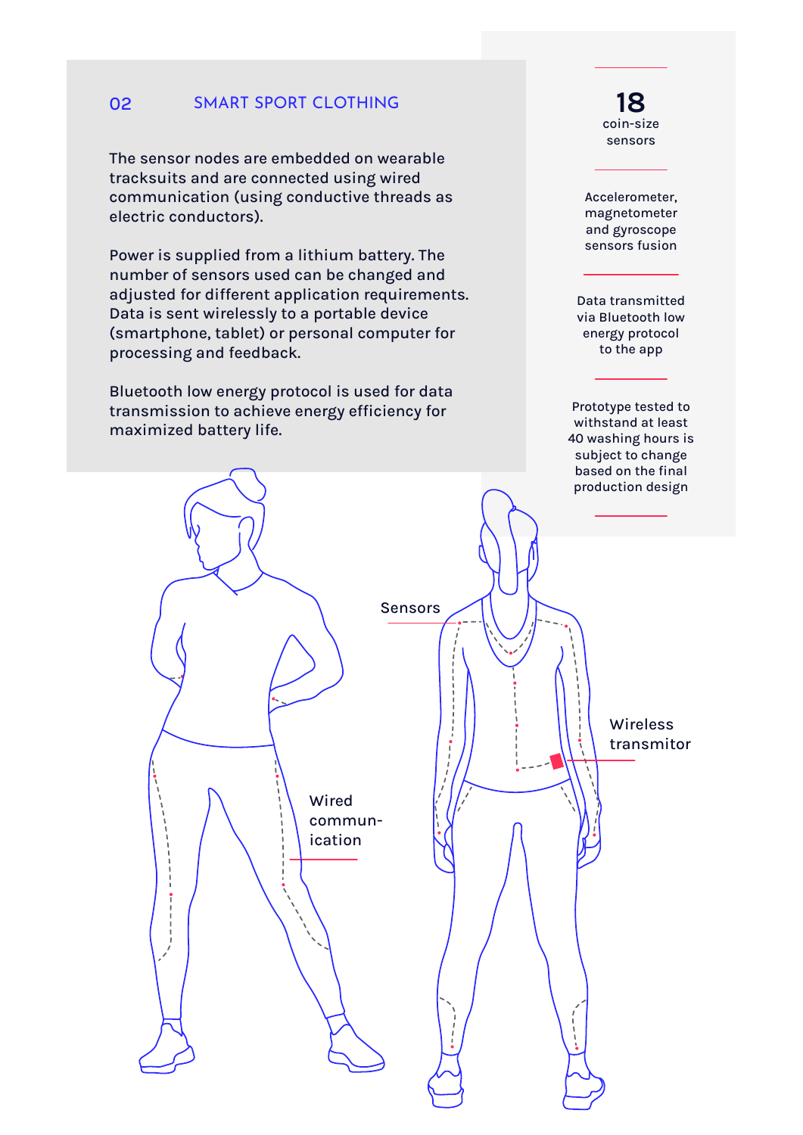#### SMART SPORT CLOTHING 02

The sensor nodes are embedded on wearable tracksuits and are connected using wired communication (using conductive threads as electric conductors).

Power is supplied from a lithium battery. The number of sensors used can be changed and adjusted for different application requirements. Data is sent wirelessly to a portable device (smartphone, tablet) or personal computer for processing and feedback.

Bluetooth low energy protocol is used for data transmission to achieve energy efficiency for maximized battery life.

**18** coin-size sensors

Accelerometer, magnetometer and gyroscope sensors fusion

Data transmitted via Bluetooth low energy protocol to the app

Prototype tested to withstand at least 40 washing hours is subject to change based on the final production design

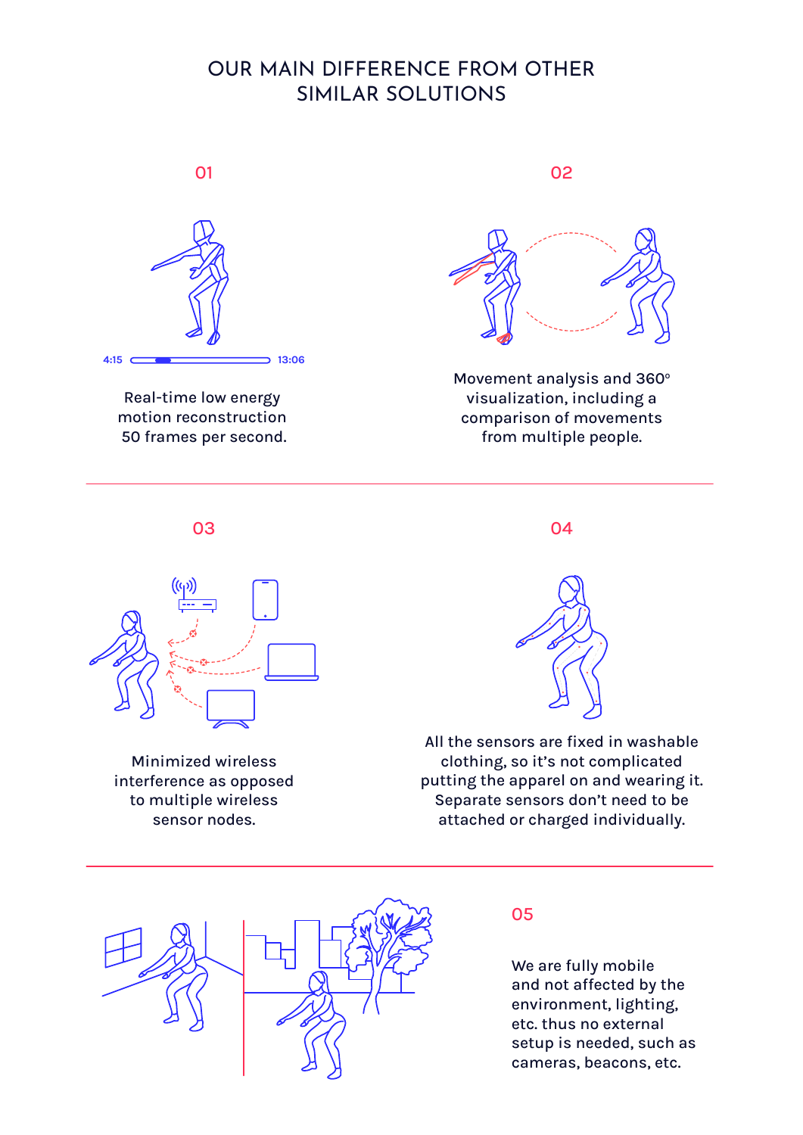# OUR MAIN DIFFERENCE FROM OTHER SIMILAR SOLUTIONS



Real-time low energy motion reconstruction 50 frames per second.

01 02



Movement analysis and 360° visualization, including a comparison of movements from multiple people.

03 04



Minimized wireless interference as opposed to multiple wireless sensor nodes.



All the sensors are fixed in washable clothing, so it's not complicated putting the apparel on and wearing it. Separate sensors don't need to be attached or charged individually.



## 05

We are fully mobile and not affected by the environment, lighting, etc. thus no external setup is needed, such as cameras, beacons, etc.